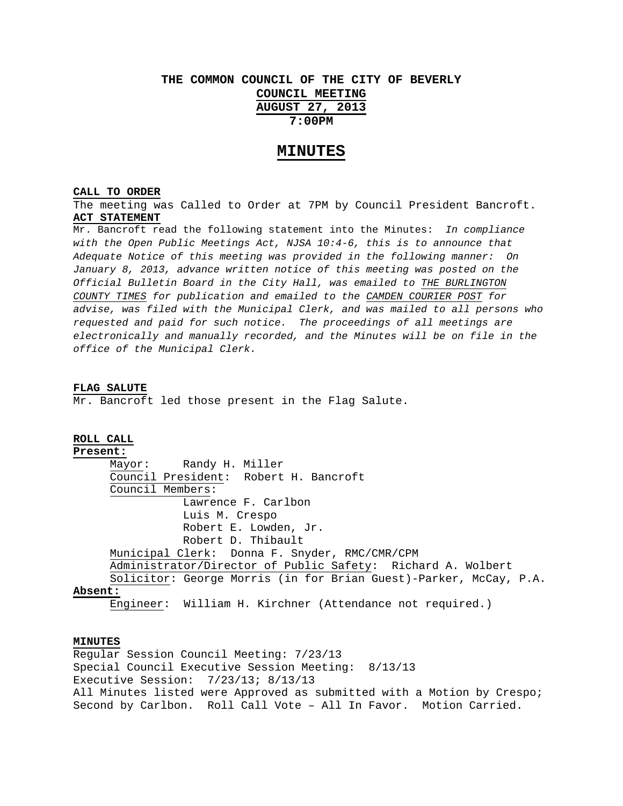# **THE COMMON COUNCIL OF THE CITY OF BEVERLY COUNCIL MEETING AUGUST 27, 2013 7:00PM**

## **MINUTES**

## **CALL TO ORDER**

The meeting was Called to Order at 7PM by Council President Bancroft. **ACT STATEMENT**

Mr. Bancroft read the following statement into the Minutes: *In compliance with the Open Public Meetings Act, NJSA 10:4-6, this is to announce that Adequate Notice of this meeting was provided in the following manner: On January 8, 2013, advance written notice of this meeting was posted on the Official Bulletin Board in the City Hall, was emailed to THE BURLINGTON COUNTY TIMES for publication and emailed to the CAMDEN COURIER POST for advise, was filed with the Municipal Clerk, and was mailed to all persons who requested and paid for such notice. The proceedings of all meetings are electronically and manually recorded, and the Minutes will be on file in the office of the Municipal Clerk.* 

#### **FLAG SALUTE**

Mr. Bancroft led those present in the Flag Salute.

## **ROLL CALL**

**Present:** Mayor: Randy H. Miller Council President: Robert H. Bancroft Council Members: Lawrence F. Carlbon Luis M. Crespo Robert E. Lowden, Jr. Robert D. Thibault Municipal Clerk: Donna F. Snyder, RMC/CMR/CPM Administrator/Director of Public Safety: Richard A. Wolbert Solicitor: George Morris (in for Brian Guest)-Parker, McCay, P.A. **Absent:**

Engineer: William H. Kirchner (Attendance not required.)

### **MINUTES**

Regular Session Council Meeting: 7/23/13 Special Council Executive Session Meeting: 8/13/13 Executive Session: 7/23/13; 8/13/13 All Minutes listed were Approved as submitted with a Motion by Crespo; Second by Carlbon. Roll Call Vote – All In Favor. Motion Carried.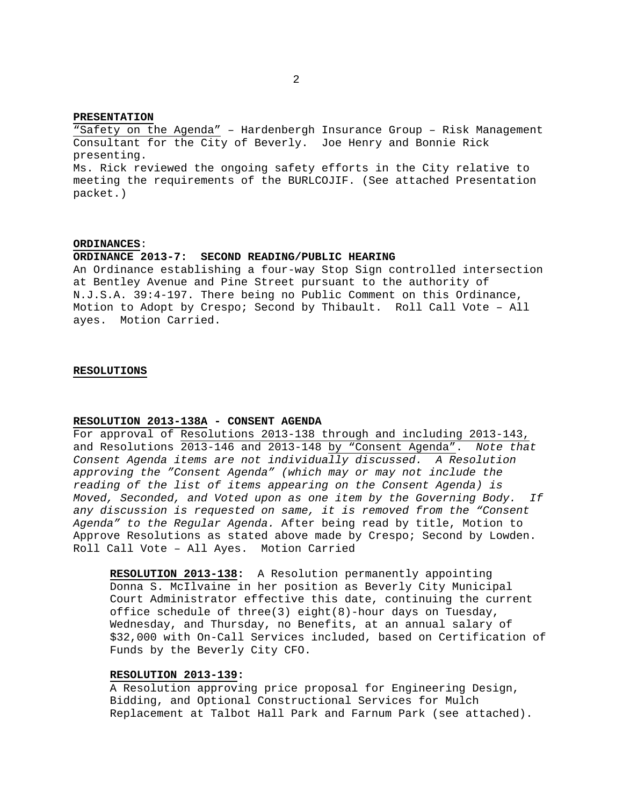#### **PRESENTATION**

"Safety on the Agenda" – Hardenbergh Insurance Group – Risk Management Consultant for the City of Beverly. Joe Henry and Bonnie Rick presenting.

Ms. Rick reviewed the ongoing safety efforts in the City relative to meeting the requirements of the BURLCOJIF. (See attached Presentation packet.)

#### **ORDINANCES**:

#### **ORDINANCE 2013-7: SECOND READING/PUBLIC HEARING**

An Ordinance establishing a four-way Stop Sign controlled intersection at Bentley Avenue and Pine Street pursuant to the authority of N.J.S.A. 39:4-197. There being no Public Comment on this Ordinance, Motion to Adopt by Crespo; Second by Thibault. Roll Call Vote – All ayes. Motion Carried.

#### **RESOLUTIONS**

#### **RESOLUTION 2013-138A - CONSENT AGENDA**

For approval of Resolutions 2013-138 through and including 2013-143, and Resolutions 2013-146 and 2013-148 by "Consent Agenda". *Note that Consent Agenda items are not individually discussed. A Resolution approving the "Consent Agenda" (which may or may not include the reading of the list of items appearing on the Consent Agenda) is Moved, Seconded, and Voted upon as one item by the Governing Body. If any discussion is requested on same, it is removed from the "Consent Agenda" to the Regular Agenda.* After being read by title, Motion to Approve Resolutions as stated above made by Crespo; Second by Lowden. Roll Call Vote – All Ayes. Motion Carried

**RESOLUTION 2013-138:** A Resolution permanently appointing Donna S. McIlvaine in her position as Beverly City Municipal Court Administrator effective this date, continuing the current office schedule of three(3) eight(8)-hour days on Tuesday, Wednesday, and Thursday, no Benefits, at an annual salary of \$32,000 with On-Call Services included, based on Certification of Funds by the Beverly City CFO.

## **RESOLUTION 2013-139:**

A Resolution approving price proposal for Engineering Design, Bidding, and Optional Constructional Services for Mulch Replacement at Talbot Hall Park and Farnum Park (see attached).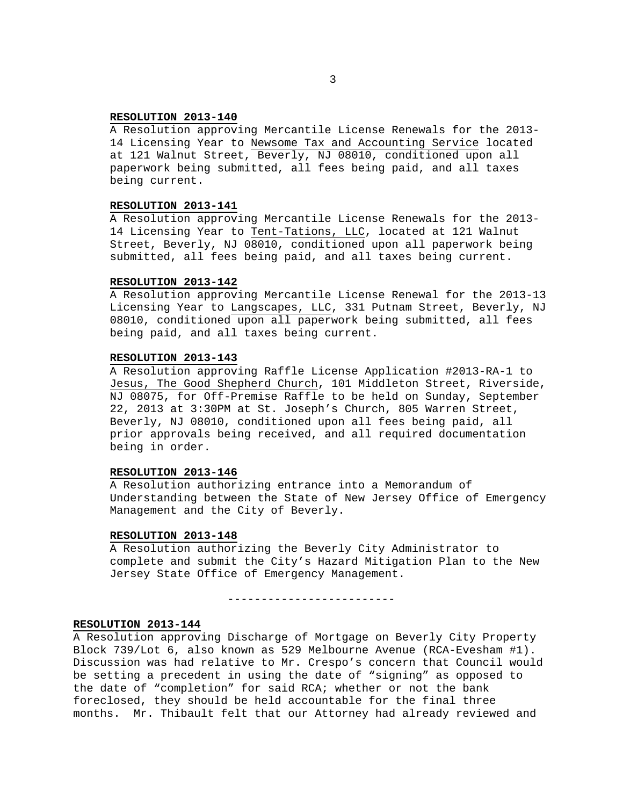## **RESOLUTION 2013-140**

A Resolution approving Mercantile License Renewals for the 2013- 14 Licensing Year to Newsome Tax and Accounting Service located at 121 Walnut Street, Beverly, NJ 08010, conditioned upon all paperwork being submitted, all fees being paid, and all taxes being current.

## **RESOLUTION 2013-141**

A Resolution approving Mercantile License Renewals for the 2013- 14 Licensing Year to Tent-Tations, LLC, located at 121 Walnut Street, Beverly, NJ 08010, conditioned upon all paperwork being submitted, all fees being paid, and all taxes being current.

#### **RESOLUTION 2013-142**

A Resolution approving Mercantile License Renewal for the 2013-13 Licensing Year to Langscapes, LLC, 331 Putnam Street, Beverly, NJ 08010, conditioned upon all paperwork being submitted, all fees being paid, and all taxes being current.

## **RESOLUTION 2013-143**

A Resolution approving Raffle License Application #2013-RA-1 to Jesus, The Good Shepherd Church, 101 Middleton Street, Riverside, NJ 08075, for Off-Premise Raffle to be held on Sunday, September 22, 2013 at 3:30PM at St. Joseph's Church, 805 Warren Street, Beverly, NJ 08010, conditioned upon all fees being paid, all prior approvals being received, and all required documentation being in order.

#### **RESOLUTION 2013-146**

A Resolution authorizing entrance into a Memorandum of Understanding between the State of New Jersey Office of Emergency Management and the City of Beverly.

## **RESOLUTION 2013-148**

A Resolution authorizing the Beverly City Administrator to complete and submit the City's Hazard Mitigation Plan to the New Jersey State Office of Emergency Management.

-------------------------

#### **RESOLUTION 2013-144**

A Resolution approving Discharge of Mortgage on Beverly City Property Block 739/Lot 6, also known as 529 Melbourne Avenue (RCA-Evesham #1). Discussion was had relative to Mr. Crespo's concern that Council would be setting a precedent in using the date of "signing" as opposed to the date of "completion" for said RCA; whether or not the bank foreclosed, they should be held accountable for the final three months. Mr. Thibault felt that our Attorney had already reviewed and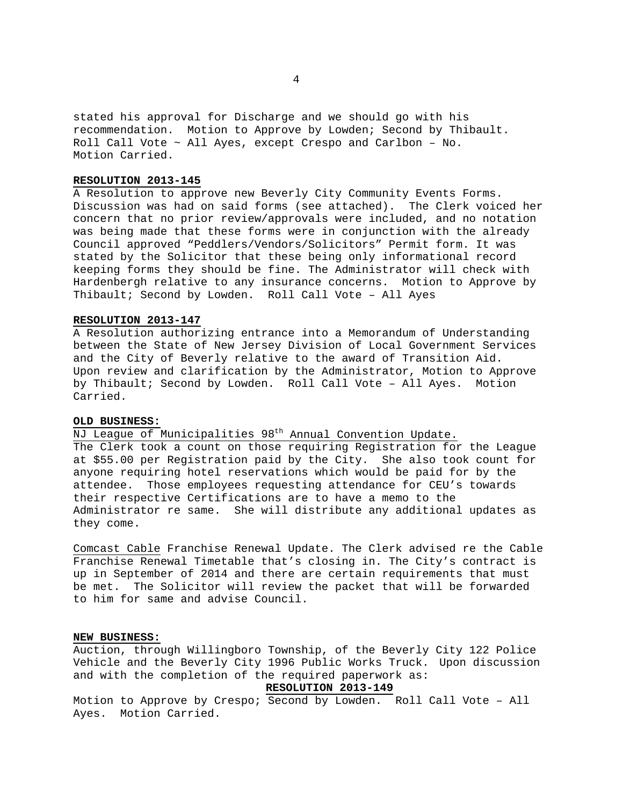stated his approval for Discharge and we should go with his recommendation. Motion to Approve by Lowden; Second by Thibault. Roll Call Vote ~ All Ayes, except Crespo and Carlbon – No. Motion Carried.

## **RESOLUTION 2013-145**

A Resolution to approve new Beverly City Community Events Forms. Discussion was had on said forms (see attached). The Clerk voiced her concern that no prior review/approvals were included, and no notation was being made that these forms were in conjunction with the already Council approved "Peddlers/Vendors/Solicitors" Permit form. It was stated by the Solicitor that these being only informational record keeping forms they should be fine. The Administrator will check with Hardenbergh relative to any insurance concerns. Motion to Approve by Thibault; Second by Lowden. Roll Call Vote – All Ayes

#### **RESOLUTION 2013-147**

A Resolution authorizing entrance into a Memorandum of Understanding between the State of New Jersey Division of Local Government Services and the City of Beverly relative to the award of Transition Aid. Upon review and clarification by the Administrator, Motion to Approve by Thibault; Second by Lowden. Roll Call Vote – All Ayes. Motion Carried.

## **OLD BUSINESS:**

NJ League of Municipalities 98<sup>th</sup> Annual Convention Update. The Clerk took a count on those requiring Registration for the League at \$55.00 per Registration paid by the City. She also took count for anyone requiring hotel reservations which would be paid for by the attendee. Those employees requesting attendance for CEU's towards their respective Certifications are to have a memo to the Administrator re same. She will distribute any additional updates as they come.

Comcast Cable Franchise Renewal Update. The Clerk advised re the Cable Franchise Renewal Timetable that's closing in. The City's contract is up in September of 2014 and there are certain requirements that must be met. The Solicitor will review the packet that will be forwarded to him for same and advise Council.

## **NEW BUSINESS:**

Auction, through Willingboro Township, of the Beverly City 122 Police Vehicle and the Beverly City 1996 Public Works Truck. Upon discussion and with the completion of the required paperwork as:

## **RESOLUTION 2013-149**

Motion to Approve by Crespo; Second by Lowden. Roll Call Vote – All Ayes. Motion Carried.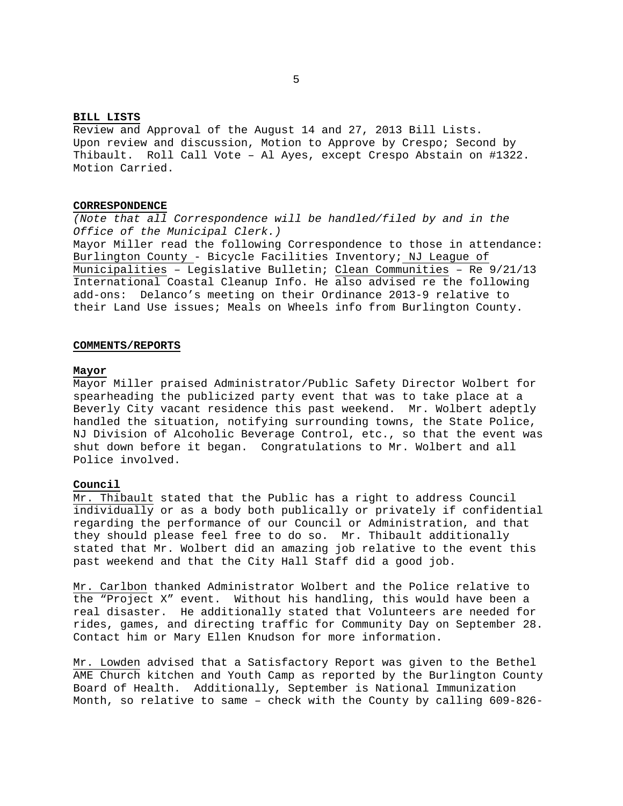## **BILL LISTS**

Review and Approval of the August 14 and 27, 2013 Bill Lists. Upon review and discussion, Motion to Approve by Crespo; Second by Thibault. Roll Call Vote – Al Ayes, except Crespo Abstain on #1322. Motion Carried.

#### **CORRESPONDENCE**

*(Note that all Correspondence will be handled/filed by and in the Office of the Municipal Clerk.)*  Mayor Miller read the following Correspondence to those in attendance: Burlington County - Bicycle Facilities Inventory; NJ League of Municipalities – Legislative Bulletin; Clean Communities – Re 9/21/13 International Coastal Cleanup Info. He also advised re the following add-ons: Delanco's meeting on their Ordinance 2013-9 relative to their Land Use issues; Meals on Wheels info from Burlington County.

#### **COMMENTS/REPORTS**

#### **Mayor**

Mayor Miller praised Administrator/Public Safety Director Wolbert for spearheading the publicized party event that was to take place at a Beverly City vacant residence this past weekend. Mr. Wolbert adeptly handled the situation, notifying surrounding towns, the State Police, NJ Division of Alcoholic Beverage Control, etc., so that the event was shut down before it began. Congratulations to Mr. Wolbert and all Police involved.

## **Council**

Mr. Thibault stated that the Public has a right to address Council individually or as a body both publically or privately if confidential regarding the performance of our Council or Administration, and that they should please feel free to do so. Mr. Thibault additionally stated that Mr. Wolbert did an amazing job relative to the event this past weekend and that the City Hall Staff did a good job.

Mr. Carlbon thanked Administrator Wolbert and the Police relative to the "Project X" event. Without his handling, this would have been a real disaster. He additionally stated that Volunteers are needed for rides, games, and directing traffic for Community Day on September 28. Contact him or Mary Ellen Knudson for more information.

Mr. Lowden advised that a Satisfactory Report was given to the Bethel AME Church kitchen and Youth Camp as reported by the Burlington County Board of Health. Additionally, September is National Immunization Month, so relative to same – check with the County by calling 609-826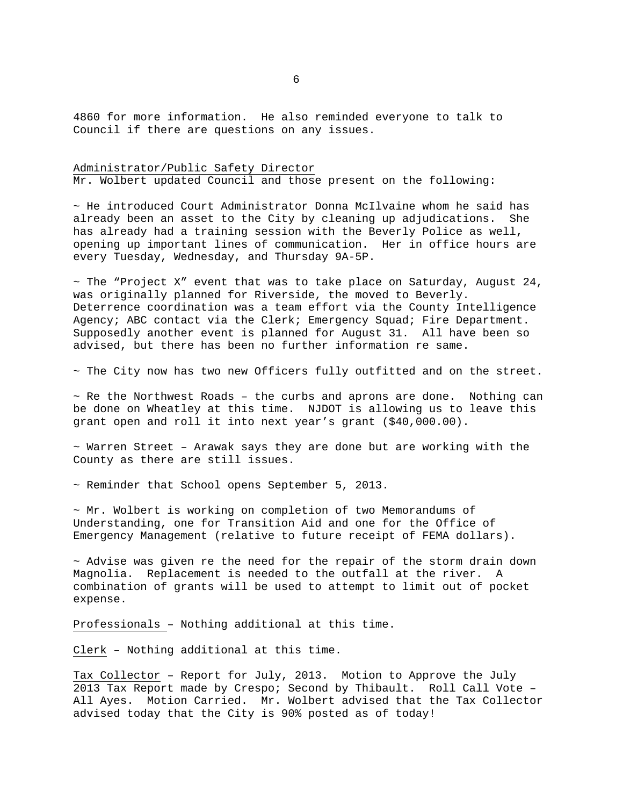4860 for more information. He also reminded everyone to talk to Council if there are questions on any issues.

# Administrator/Public Safety Director

Mr. Wolbert updated Council and those present on the following:

 $\sim$  He introduced Court Administrator Donna McIlvaine whom he said has already been an asset to the City by cleaning up adjudications. She has already had a training session with the Beverly Police as well, opening up important lines of communication. Her in office hours are every Tuesday, Wednesday, and Thursday 9A-5P.

 $\sim$  The "Project X" event that was to take place on Saturday, August 24, was originally planned for Riverside, the moved to Beverly. Deterrence coordination was a team effort via the County Intelligence Agency; ABC contact via the Clerk; Emergency Squad; Fire Department. Supposedly another event is planned for August 31. All have been so advised, but there has been no further information re same.

~ The City now has two new Officers fully outfitted and on the street.

 $\sim$  Re the Northwest Roads - the curbs and aprons are done. Nothing can be done on Wheatley at this time. NJDOT is allowing us to leave this grant open and roll it into next year's grant (\$40,000.00).

 $\sim$  Warren Street - Arawak says they are done but are working with the County as there are still issues.

~ Reminder that School opens September 5, 2013.

 $\sim$  Mr. Wolbert is working on completion of two Memorandums of Understanding, one for Transition Aid and one for the Office of Emergency Management (relative to future receipt of FEMA dollars).

 $\sim$  Advise was given re the need for the repair of the storm drain down Magnolia. Replacement is needed to the outfall at the river. A combination of grants will be used to attempt to limit out of pocket expense.

Professionals – Nothing additional at this time.

Clerk – Nothing additional at this time.

Tax Collector – Report for July, 2013. Motion to Approve the July 2013 Tax Report made by Crespo; Second by Thibault. Roll Call Vote – All Ayes. Motion Carried. Mr. Wolbert advised that the Tax Collector advised today that the City is 90% posted as of today!